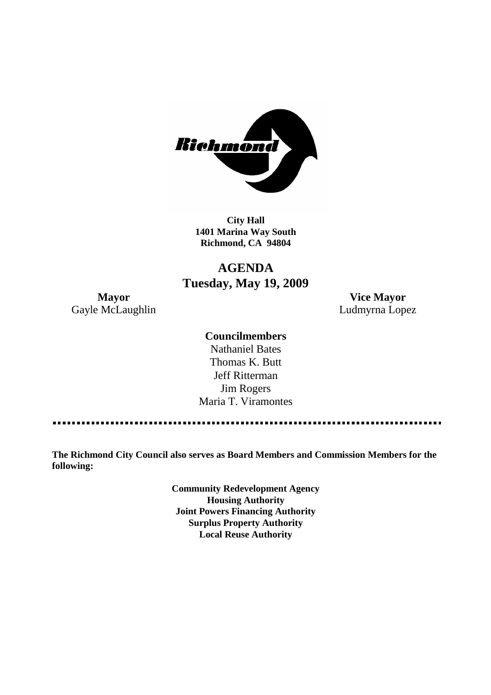

**City Hall 1401 Marina Way South Richmond, CA 94804**

# **AGENDA Tuesday, May 19, 2009**

Gayle McLaughlin **Ludmyrna Lopez** 

**Mayor Vice Mayor**

### **Councilmembers**

Nathaniel Bates Thomas K. Butt Jeff Ritterman Jim Rogers Maria T. Viramontes

**The Richmond City Council also serves as Board Members and Commission Members for the following:**

> **Community Redevelopment Agency Housing Authority Joint Powers Financing Authority Surplus Property Authority Local Reuse Authority**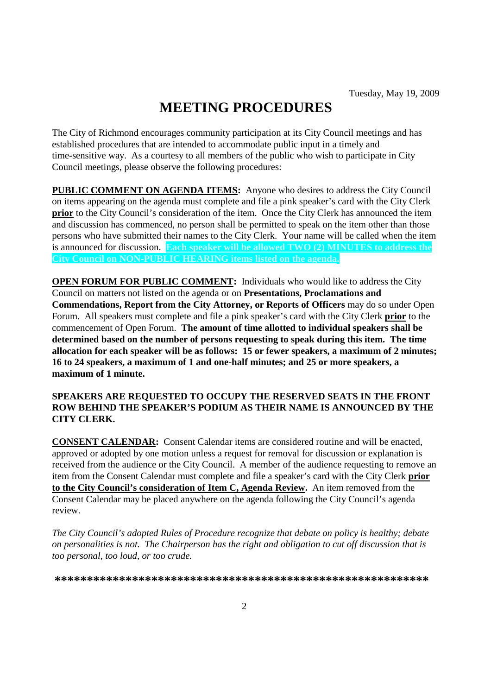# **MEETING PROCEDURES**

The City of Richmond encourages community participation at its City Council meetings and has established procedures that are intended to accommodate public input in a timely and time-sensitive way. As a courtesy to all members of the public who wish to participate in City Council meetings, please observe the following procedures:

**PUBLIC COMMENT ON AGENDA ITEMS:** Anyone who desires to address the City Council on items appearing on the agenda must complete and file a pink speaker's card with the City Clerk **prior** to the City Council's consideration of the item. Once the City Clerk has announced the item and discussion has commenced, no person shall be permitted to speak on the item other than those persons who have submitted their names to the City Clerk. Your name will be called when the item is announced for discussion. **Each speaker will be allowed TWO (2) MINUTES to address the City Council on NON-PUBLIC HEARING items listed on the agenda.**

**OPEN FORUM FOR PUBLIC COMMENT:** Individuals who would like to address the City Council on matters not listed on the agenda or on **Presentations, Proclamations and Commendations, Report from the City Attorney, or Reports of Officers** may do so under Open Forum. All speakers must complete and file a pink speaker's card with the City Clerk **prior** to the commencement of Open Forum. **The amount of time allotted to individual speakers shall be determined based on the number of persons requesting to speak during this item. The time allocation for each speaker will be as follows: 15 or fewer speakers, a maximum of 2 minutes; 16 to 24 speakers, a maximum of 1 and one-half minutes; and 25 or more speakers, a maximum of 1 minute.**

#### **SPEAKERS ARE REQUESTED TO OCCUPY THE RESERVED SEATS IN THE FRONT ROW BEHIND THE SPEAKER'S PODIUM AS THEIR NAME IS ANNOUNCED BY THE CITY CLERK.**

**CONSENT CALENDAR:** Consent Calendar items are considered routine and will be enacted, approved or adopted by one motion unless a request for removal for discussion or explanation is received from the audience or the City Council. A member of the audience requesting to remove an item from the Consent Calendar must complete and file a speaker's card with the City Clerk **prior to the City Council's consideration of Item C, Agenda Review.** An item removed from the Consent Calendar may be placed anywhere on the agenda following the City Council's agenda review.

*The City Council's adopted Rules of Procedure recognize that debate on policy is healthy; debate on personalities is not. The Chairperson has the right and obligation to cut off discussion that is too personal, too loud, or too crude.*

**\*\*\*\*\*\*\*\*\*\*\*\*\*\*\*\*\*\*\*\*\*\*\*\*\*\*\*\*\*\*\*\*\*\*\*\*\*\*\*\*\*\*\*\*\*\*\*\*\*\*\*\*\*\*\*\*\*\***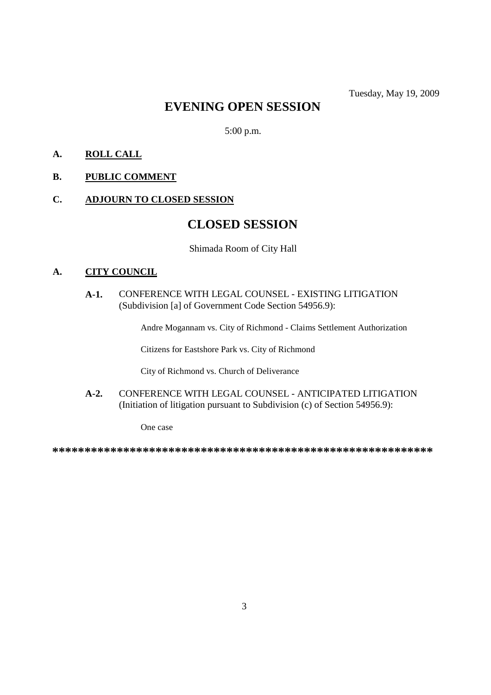# **EVENING OPEN SESSION**

5:00 p.m.

## **A. ROLL CALL**

# **B. PUBLIC COMMENT**

### **C. ADJOURN TO CLOSED SESSION**

# **CLOSED SESSION**

Shimada Room of City Hall

#### **A. CITY COUNCIL**

### **A-1.** CONFERENCE WITH LEGAL COUNSEL - EXISTING LITIGATION (Subdivision [a] of Government Code Section 54956.9):

Andre Mogannam vs. City of Richmond - Claims Settlement Authorization

Citizens for Eastshore Park vs. City of Richmond

City of Richmond vs. Church of Deliverance

**A-2.** CONFERENCE WITH LEGAL COUNSEL - ANTICIPATED LITIGATION (Initiation of litigation pursuant to Subdivision (c) of Section 54956.9):

One case

**\*\*\*\*\*\*\*\*\*\*\*\*\*\*\*\*\*\*\*\*\*\*\*\*\*\*\*\*\*\*\*\*\*\*\*\*\*\*\*\*\*\*\*\*\*\*\*\*\*\*\*\*\*\*\*\*\*\*\***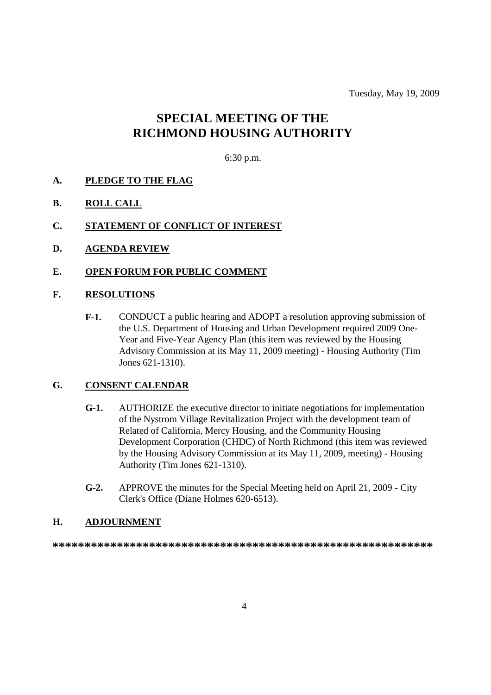Tuesday, May 19, 2009

# **SPECIAL MEETING OF THE RICHMOND HOUSING AUTHORITY**

#### 6:30 p.m.

- **A. PLEDGE TO THE FLAG**
- **B. ROLL CALL**
- **C. STATEMENT OF CONFLICT OF INTEREST**
- **D. AGENDA REVIEW**
- **E. OPEN FORUM FOR PUBLIC COMMENT**

#### **F. RESOLUTIONS**

**F-1.** CONDUCT a public hearing and ADOPT a resolution approving submission of the U.S. Department of Housing and Urban Development required 2009 One-Year and Five-Year Agency Plan (this item was reviewed by the Housing Advisory Commission at its May 11, 2009 meeting) - Housing Authority (Tim Jones 621-1310).

#### **G. CONSENT CALENDAR**

- **G-1.** AUTHORIZE the executive director to initiate negotiations for implementation of the Nystrom Village Revitalization Project with the development team of Related of California, Mercy Housing, and the Community Housing Development Corporation (CHDC) of North Richmond (this item was reviewed by the Housing Advisory Commission at its May 11, 2009, meeting) - Housing Authority (Tim Jones 621-1310).
- **G-2.** APPROVE the minutes for the Special Meeting held on April 21, 2009 City Clerk's Office (Diane Holmes 620-6513).

#### **H. ADJOURNMENT**

**\*\*\*\*\*\*\*\*\*\*\*\*\*\*\*\*\*\*\*\*\*\*\*\*\*\*\*\*\*\*\*\*\*\*\*\*\*\*\*\*\*\*\*\*\*\*\*\*\*\*\*\*\*\*\*\*\*\*\***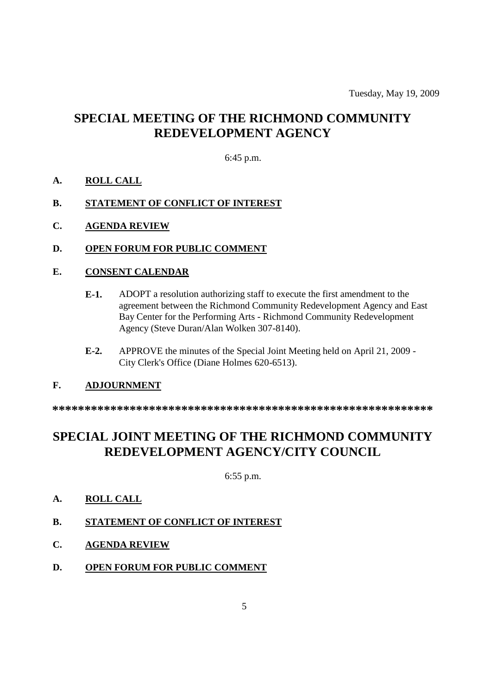# **SPECIAL MEETING OF THE RICHMOND COMMUNITY REDEVELOPMENT AGENCY**

### 6:45 p.m.

- **A. ROLL CALL**
- **B. STATEMENT OF CONFLICT OF INTEREST**
- **C. AGENDA REVIEW**
- **D. OPEN FORUM FOR PUBLIC COMMENT**

#### **E. CONSENT CALENDAR**

- **E-1.** ADOPT a resolution authorizing staff to execute the first amendment to the agreement between the Richmond Community Redevelopment Agency and East Bay Center for the Performing Arts - Richmond Community Redevelopment Agency (Steve Duran/Alan Wolken 307-8140).
- **E-2.** APPROVE the minutes of the Special Joint Meeting held on April 21, 2009 City Clerk's Office (Diane Holmes 620-6513).

#### **F. ADJOURNMENT**

**\*\*\*\*\*\*\*\*\*\*\*\*\*\*\*\*\*\*\*\*\*\*\*\*\*\*\*\*\*\*\*\*\*\*\*\*\*\*\*\*\*\*\*\*\*\*\*\*\*\*\*\*\*\*\*\*\*\*\***

# **SPECIAL JOINT MEETING OF THE RICHMOND COMMUNITY REDEVELOPMENT AGENCY/CITY COUNCIL**

6:55 p.m.

- **A. ROLL CALL**
- **B. STATEMENT OF CONFLICT OF INTEREST**
- **C. AGENDA REVIEW**
- **D. OPEN FORUM FOR PUBLIC COMMENT**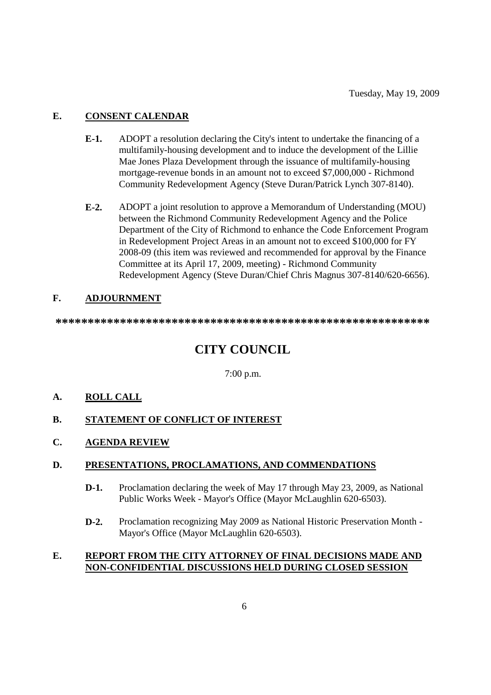# **E. CONSENT CALENDAR**

- **E-1.** ADOPT a resolution declaring the City's intent to undertake the financing of a multifamily-housing development and to induce the development of the Lillie Mae Jones Plaza Development through the issuance of multifamily-housing mortgage-revenue bonds in an amount not to exceed \$7,000,000 - Richmond Community Redevelopment Agency (Steve Duran/Patrick Lynch 307-8140).
- **E-2.** ADOPT a joint resolution to approve a Memorandum of Understanding (MOU) between the Richmond Community Redevelopment Agency and the Police Department of the City of Richmond to enhance the Code Enforcement Program in Redevelopment Project Areas in an amount not to exceed \$100,000 for FY 2008-09 (this item was reviewed and recommended for approval by the Finance Committee at its April 17, 2009, meeting) - Richmond Community Redevelopment Agency (Steve Duran/Chief Chris Magnus 307-8140/620-6656).

## **F. ADJOURNMENT**

**\*\*\*\*\*\*\*\*\*\*\*\*\*\*\*\*\*\*\*\*\*\*\*\*\*\*\*\*\*\*\*\*\*\*\*\*\*\*\*\*\*\*\*\*\*\*\*\*\*\*\*\*\*\*\*\*\*\***

# **CITY COUNCIL**

7:00 p.m.

## **A. ROLL CALL**

- **B. STATEMENT OF CONFLICT OF INTEREST**
- **C. AGENDA REVIEW**

#### **D. PRESENTATIONS, PROCLAMATIONS, AND COMMENDATIONS**

- **D-1.** Proclamation declaring the week of May 17 through May 23, 2009, as National Public Works Week - Mayor's Office (Mayor McLaughlin 620-6503).
- **D-2.** Proclamation recognizing May 2009 as National Historic Preservation Month Mayor's Office (Mayor McLaughlin 620-6503).

#### **E. REPORT FROM THE CITY ATTORNEY OF FINAL DECISIONS MADE AND NON-CONFIDENTIAL DISCUSSIONS HELD DURING CLOSED SESSION**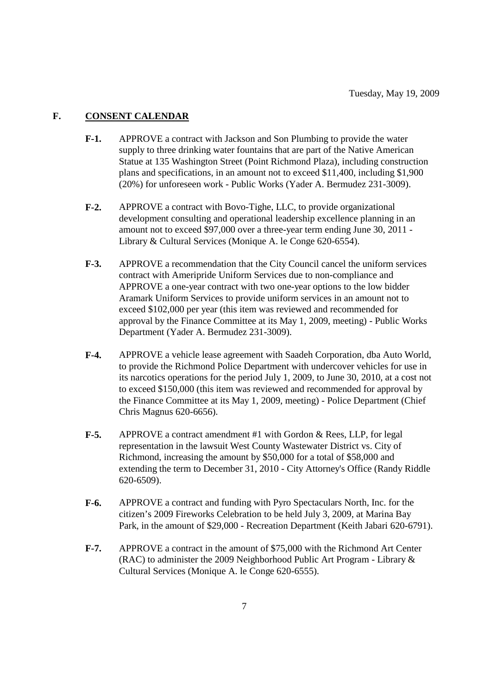### **F. CONSENT CALENDAR**

- **F-1.** APPROVE a contract with Jackson and Son Plumbing to provide the water supply to three drinking water fountains that are part of the Native American Statue at 135 Washington Street (Point Richmond Plaza), including construction plans and specifications, in an amount not to exceed \$11,400, including \$1,900 (20%) for unforeseen work - Public Works (Yader A. Bermudez 231-3009).
- **F-2.** APPROVE a contract with Bovo-Tighe, LLC, to provide organizational development consulting and operational leadership excellence planning in an amount not to exceed \$97,000 over a three-year term ending June 30, 2011 - Library & Cultural Services (Monique A. le Conge 620-6554).
- **F-3.** APPROVE a recommendation that the City Council cancel the uniform services contract with Ameripride Uniform Services due to non-compliance and APPROVE a one-year contract with two one-year options to the low bidder Aramark Uniform Services to provide uniform services in an amount not to exceed \$102,000 per year (this item was reviewed and recommended for approval by the Finance Committee at its May 1, 2009, meeting) - Public Works Department (Yader A. Bermudez 231-3009).
- **F-4.** APPROVE a vehicle lease agreement with Saadeh Corporation, dba Auto World, to provide the Richmond Police Department with undercover vehicles for use in its narcotics operations for the period July 1, 2009, to June 30, 2010, at a cost not to exceed \$150,000 (this item was reviewed and recommended for approval by the Finance Committee at its May 1, 2009, meeting) - Police Department (Chief Chris Magnus 620-6656).
- **F-5.** APPROVE a contract amendment #1 with Gordon & Rees, LLP, for legal representation in the lawsuit West County Wastewater District vs. City of Richmond, increasing the amount by \$50,000 for a total of \$58,000 and extending the term to December 31, 2010 - City Attorney's Office (Randy Riddle 620-6509).
- **F-6.** APPROVE a contract and funding with Pyro Spectaculars North, Inc. for the citizen's 2009 Fireworks Celebration to be held July 3, 2009, at Marina Bay Park, in the amount of \$29,000 - Recreation Department (Keith Jabari 620-6791).
- **F-7.** APPROVE a contract in the amount of \$75,000 with the Richmond Art Center (RAC) to administer the 2009 Neighborhood Public Art Program - Library & Cultural Services (Monique A. le Conge 620-6555).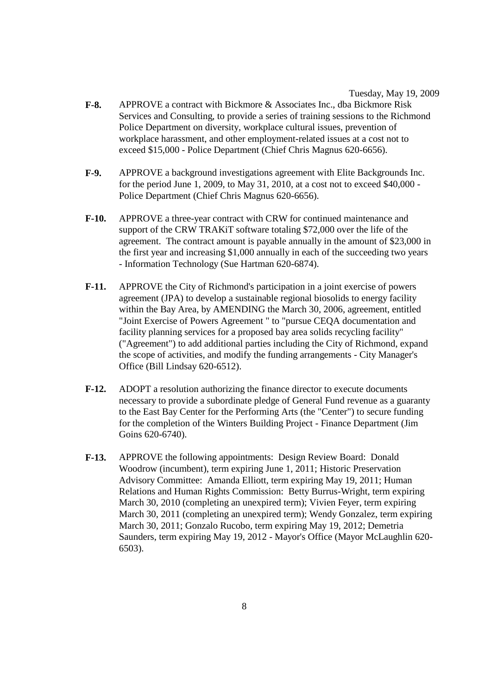- **F-8.** APPROVE a contract with Bickmore & Associates Inc., dba Bickmore Risk Services and Consulting, to provide a series of training sessions to the Richmond Police Department on diversity, workplace cultural issues, prevention of workplace harassment, and other employment-related issues at a cost not to exceed \$15,000 - Police Department (Chief Chris Magnus 620-6656).
- **F-9.** APPROVE a background investigations agreement with Elite Backgrounds Inc. for the period June 1, 2009, to May 31, 2010, at a cost not to exceed \$40,000 - Police Department (Chief Chris Magnus 620-6656).
- **F-10.** APPROVE a three-year contract with CRW for continued maintenance and support of the CRW TRAKiT software totaling \$72,000 over the life of the agreement. The contract amount is payable annually in the amount of \$23,000 in the first year and increasing \$1,000 annually in each of the succeeding two years - Information Technology (Sue Hartman 620-6874).
- **F-11.** APPROVE the City of Richmond's participation in a joint exercise of powers agreement (JPA) to develop a sustainable regional biosolids to energy facility within the Bay Area, by AMENDING the March 30, 2006, agreement, entitled "Joint Exercise of Powers Agreement " to "pursue CEQA documentation and facility planning services for a proposed bay area solids recycling facility" ("Agreement") to add additional parties including the City of Richmond, expand the scope of activities, and modify the funding arrangements - City Manager's Office (Bill Lindsay 620-6512).
- **F-12.** ADOPT a resolution authorizing the finance director to execute documents necessary to provide a subordinate pledge of General Fund revenue as a guaranty to the East Bay Center for the Performing Arts (the "Center") to secure funding for the completion of the Winters Building Project - Finance Department (Jim Goins 620-6740).
- **F-13.** APPROVE the following appointments: Design Review Board: Donald Woodrow (incumbent), term expiring June 1, 2011; Historic Preservation Advisory Committee: Amanda Elliott, term expiring May 19, 2011; Human Relations and Human Rights Commission: Betty Burrus-Wright, term expiring March 30, 2010 (completing an unexpired term); Vivien Feyer, term expiring March 30, 2011 (completing an unexpired term); Wendy Gonzalez, term expiring March 30, 2011; Gonzalo Rucobo, term expiring May 19, 2012; Demetria Saunders, term expiring May 19, 2012 - Mayor's Office (Mayor McLaughlin 620- 6503).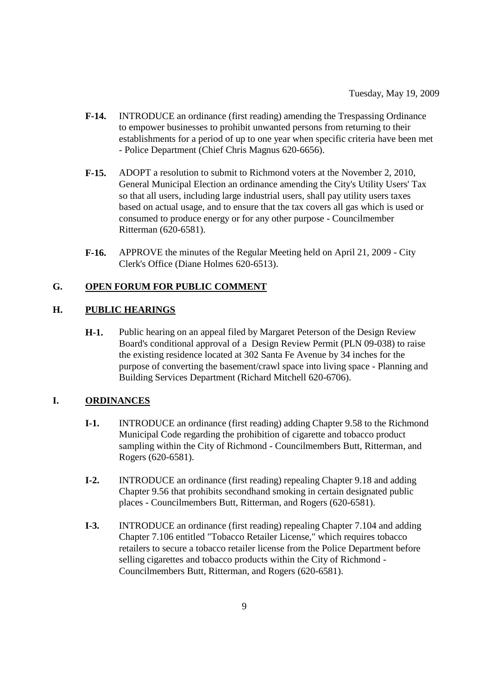- **F-14.** INTRODUCE an ordinance (first reading) amending the Trespassing Ordinance to empower businesses to prohibit unwanted persons from returning to their establishments for a period of up to one year when specific criteria have been met - Police Department (Chief Chris Magnus 620-6656).
- **F-15.** ADOPT a resolution to submit to Richmond voters at the November 2, 2010, General Municipal Election an ordinance amending the City's Utility Users' Tax so that all users, including large industrial users, shall pay utility users taxes based on actual usage, and to ensure that the tax covers all gas which is used or consumed to produce energy or for any other purpose - Councilmember Ritterman (620-6581).
- **F-16.** APPROVE the minutes of the Regular Meeting held on April 21, 2009 City Clerk's Office (Diane Holmes 620-6513).

#### **G. OPEN FORUM FOR PUBLIC COMMENT**

#### **H. PUBLIC HEARINGS**

**H-1.** Public hearing on an appeal filed by Margaret Peterson of the Design Review Board's conditional approval of a Design Review Permit (PLN 09-038) to raise the existing residence located at 302 Santa Fe Avenue by 34 inches for the purpose of converting the basement/crawl space into living space - Planning and Building Services Department (Richard Mitchell 620-6706).

#### **I. ORDINANCES**

- **I-1.** INTRODUCE an ordinance (first reading) adding Chapter 9.58 to the Richmond Municipal Code regarding the prohibition of cigarette and tobacco product sampling within the City of Richmond - Councilmembers Butt, Ritterman, and Rogers (620-6581).
- **I-2.** INTRODUCE an ordinance (first reading) repealing Chapter 9.18 and adding Chapter 9.56 that prohibits secondhand smoking in certain designated public places - Councilmembers Butt, Ritterman, and Rogers (620-6581).
- **I-3.** INTRODUCE an ordinance (first reading) repealing Chapter 7.104 and adding Chapter 7.106 entitled "Tobacco Retailer License," which requires tobacco retailers to secure a tobacco retailer license from the Police Department before selling cigarettes and tobacco products within the City of Richmond - Councilmembers Butt, Ritterman, and Rogers (620-6581).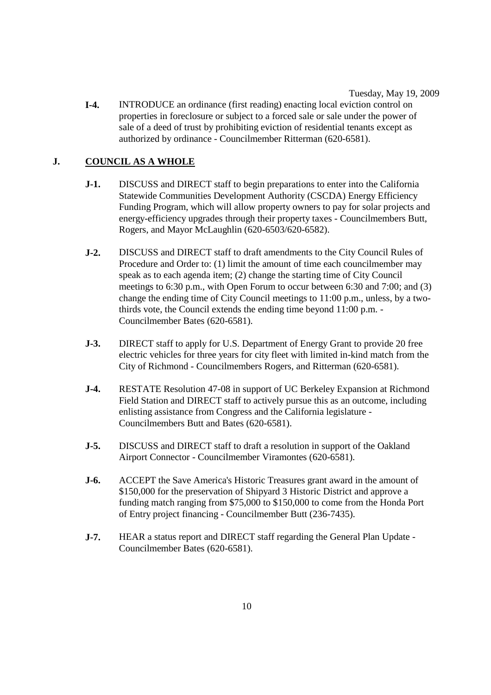Tuesday, May 19, 2009

**I-4.** INTRODUCE an ordinance (first reading) enacting local eviction control on properties in foreclosure or subject to a forced sale or sale under the power of sale of a deed of trust by prohibiting eviction of residential tenants except as authorized by ordinance - Councilmember Ritterman (620-6581).

# **J. COUNCIL AS A WHOLE**

- **J-1.** DISCUSS and DIRECT staff to begin preparations to enter into the California Statewide Communities Development Authority (CSCDA) Energy Efficiency Funding Program, which will allow property owners to pay for solar projects and energy-efficiency upgrades through their property taxes - Councilmembers Butt, Rogers, and Mayor McLaughlin (620-6503/620-6582).
- **J-2.** DISCUSS and DIRECT staff to draft amendments to the City Council Rules of Procedure and Order to: (1) limit the amount of time each councilmember may speak as to each agenda item; (2) change the starting time of City Council meetings to 6:30 p.m., with Open Forum to occur between 6:30 and 7:00; and (3) change the ending time of City Council meetings to 11:00 p.m., unless, by a twothirds vote, the Council extends the ending time beyond 11:00 p.m. - Councilmember Bates (620-6581).
- **J-3.** DIRECT staff to apply for U.S. Department of Energy Grant to provide 20 free electric vehicles for three years for city fleet with limited in-kind match from the City of Richmond - Councilmembers Rogers, and Ritterman (620-6581).
- **J-4.** RESTATE Resolution 47-08 in support of UC Berkeley Expansion at Richmond Field Station and DIRECT staff to actively pursue this as an outcome, including enlisting assistance from Congress and the California legislature - Councilmembers Butt and Bates (620-6581).
- **J-5.** DISCUSS and DIRECT staff to draft a resolution in support of the Oakland Airport Connector - Councilmember Viramontes (620-6581).
- **J-6.** ACCEPT the Save America's Historic Treasures grant award in the amount of \$150,000 for the preservation of Shipyard 3 Historic District and approve a funding match ranging from \$75,000 to \$150,000 to come from the Honda Port of Entry project financing - Councilmember Butt (236-7435).
- **J-7.** HEAR a status report and DIRECT staff regarding the General Plan Update Councilmember Bates (620-6581).